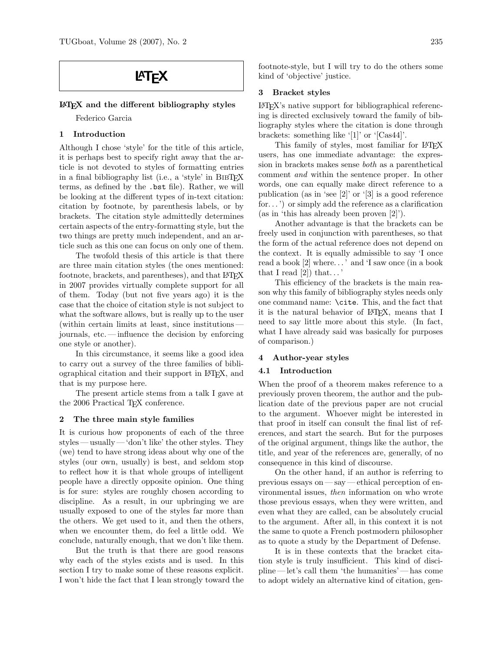#### LATEX and the different bibliography styles

Federico Garcia

# 1 Introduction

Although I chose 'style' for the title of this article, it is perhaps best to specify right away that the article is not devoted to styles of formatting entries in a final bibliography list (i.e., a 'style' in BIBT<sub>EX</sub> terms, as defined by the .bst file). Rather, we will be looking at the different types of in-text citation: citation by footnote, by parenthesis labels, or by brackets. The citation style admittedly determines certain aspects of the entry-formatting style, but the two things are pretty much independent, and an article such as this one can focus on only one of them.

The twofold thesis of this article is that there are three main citation styles (the ones mentioned: footnote, brackets, and parentheses), and that LAT<sub>EX</sub> in 2007 provides virtually complete support for all of them. Today (but not five years ago) it is the case that the choice of citation style is not subject to what the software allows, but is really up to the user (within certain limits at least, since institutions journals, etc. — influence the decision by enforcing one style or another).

In this circumstance, it seems like a good idea to carry out a survey of the three families of bibliographical citation and their support in LATEX, and that is my purpose here.

The present article stems from a talk I gave at the 2006 Practical T<sub>F</sub>X conference.

### 2 The three main style families

It is curious how proponents of each of the three styles — usually— 'don't like' the other styles. They (we) tend to have strong ideas about why one of the styles (our own, usually) is best, and seldom stop to reflect how it is that whole groups of intelligent people have a directly opposite opinion. One thing is for sure: styles are roughly chosen according to discipline. As a result, in our upbringing we are usually exposed to one of the styles far more than the others. We get used to it, and then the others, when we encounter them, do feel a little odd. We conclude, naturally enough, that we don't like them.

But the truth is that there are good reasons why each of the styles exists and is used. In this section I try to make some of these reasons explicit. I won't hide the fact that I lean strongly toward the footnote-style, but I will try to do the others some kind of 'objective' justice.

#### 3 Bracket styles

LATEX's native support for bibliographical referencing is directed exclusively toward the family of bibliography styles where the citation is done through brackets: something like '[1]' or '[Cas44]'.

This family of styles, most familiar for LAT<sub>EX</sub> users, has one immediate advantage: the expression in brackets makes sense both as a parenthetical comment and within the sentence proper. In other words, one can equally make direct reference to a publication (as in 'see [2]' or '[3] is a good reference for...') or simply add the reference as a clarification (as in 'this has already been proven [2]').

Another advantage is that the brackets can be freely used in conjunction with parentheses, so that the form of the actual reference does not depend on the context. It is equally admissible to say 'I once read a book [2] where. . . ' and 'I saw once (in a book that I read  $[2]$  that...

This efficiency of the brackets is the main reason why this family of bibliography styles needs only one command name: \cite. This, and the fact that it is the natural behavior of LATEX, means that I need to say little more about this style. (In fact, what I have already said was basically for purposes of comparison.)

# 4 Author-year styles

## 4.1 Introduction

When the proof of a theorem makes reference to a previously proven theorem, the author and the publication date of the previous paper are not crucial to the argument. Whoever might be interested in that proof in itself can consult the final list of references, and start the search. But for the purposes of the original argument, things like the author, the title, and year of the references are, generally, of no consequence in this kind of discourse.

On the other hand, if an author is referring to previous essays on — say— ethical perception of environmental issues, then information on who wrote those previous essays, when they were written, and even what they are called, can be absolutely crucial to the argument. After all, in this context it is not the same to quote a French postmodern philosopher as to quote a study by the Department of Defense.

It is in these contexts that the bracket citation style is truly insufficient. This kind of discipline — let's call them 'the humanities' — has come to adopt widely an alternative kind of citation, gen-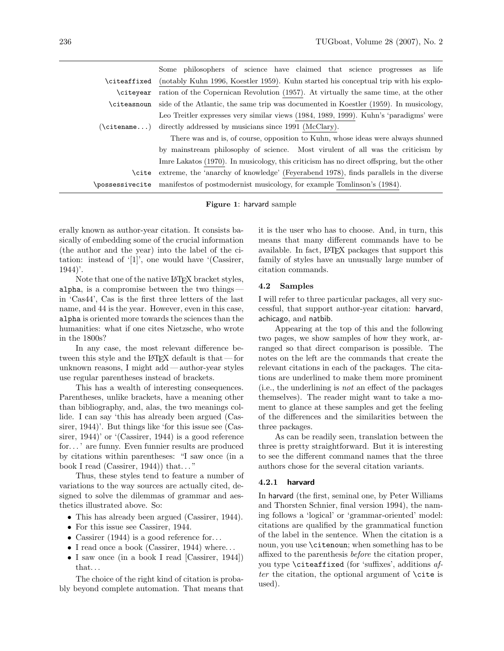|                        | Some philosophers of science have claimed that science progresses as life                 |  |  |
|------------------------|-------------------------------------------------------------------------------------------|--|--|
| \citeaffixed           | (notably Kuhn 1996, Koestler 1959). Kuhn started his conceptual trip with his explo-      |  |  |
| \citevear              | ration of the Copernican Revolution (1957). At virtually the same time, at the other      |  |  |
| \citeasnoun            | side of the Atlantic, the same trip was documented in Koestler (1959). In musicology,     |  |  |
|                        | Leo Treitler expresses very similar views (1984, 1989, 1999). Kuhn's 'paradigms' were     |  |  |
| $(\setminus$ citename) | directly addressed by musicians since 1991 (McClary).                                     |  |  |
|                        | There was and is, of course, opposition to Kuhn, whose ideas were always shunned          |  |  |
|                        | by mainstream philosophy of science. Most virulent of all was the criticism by            |  |  |
|                        | Imre Lakatos (1970). In musicology, this criticism has no direct offspring, but the other |  |  |
| <b>\cite</b>           | extreme, the 'anarchy of knowledge' (Feyerabend 1978), finds parallels in the diverse     |  |  |
| \possessivecite        | manifestos of postmodernist musicology, for example Tomlinson's (1984).                   |  |  |
|                        |                                                                                           |  |  |

Figure 1: harvard sample

erally known as author-year citation. It consists basically of embedding some of the crucial information (the author and the year) into the label of the citation: instead of '[1]', one would have '(Cassirer, 1944)'.

Note that one of the native LAT<sub>EX</sub> bracket styles, alpha, is a compromise between the two things in 'Cas44', Cas is the first three letters of the last name, and 44 is the year. However, even in this case, alpha is oriented more towards the sciences than the humanities: what if one cites Nietzsche, who wrote in the 1800s?

In any case, the most relevant difference between this style and the LAT<sub>EX</sub> default is that — for unknown reasons, I might add— author-year styles use regular parentheses instead of brackets.

This has a wealth of interesting consequences. Parentheses, unlike brackets, have a meaning other than bibliography, and, alas, the two meanings collide. I can say 'this has already been argued (Cassirer, 1944)'. But things like 'for this issue see (Cassirer, 1944)' or '(Cassirer, 1944) is a good reference for...' are funny. Even funnier results are produced by citations within parentheses: "I saw once (in a book I read (Cassirer, 1944)) that..."

Thus, these styles tend to feature a number of variations to the way sources are actually cited, designed to solve the dilemmas of grammar and aesthetics illustrated above. So:

- This has already been argued (Cassirer, 1944).
- For this issue see Cassirer, 1944.
- Cassirer (1944) is a good reference for...
- I read once a book (Cassirer, 1944) where...
- I saw once (in a book I read [Cassirer, 1944]) that. . .

The choice of the right kind of citation is probably beyond complete automation. That means that it is the user who has to choose. And, in turn, this means that many different commands have to be available. In fact, LATEX packages that support this family of styles have an unusually large number of citation commands.

### 4.2 Samples

I will refer to three particular packages, all very successful, that support author-year citation: harvard, achicago, and natbib.

Appearing at the top of this and the following two pages, we show samples of how they work, arranged so that direct comparison is possible. The notes on the left are the commands that create the relevant citations in each of the packages. The citations are underlined to make them more prominent (i.e., the underlining is not an effect of the packages themselves). The reader might want to take a moment to glance at these samples and get the feeling of the differences and the similarities between the three packages.

As can be readily seen, translation between the three is pretty straightforward. But it is interesting to see the different command names that the three authors chose for the several citation variants.

### 4.2.1 harvard

In harvard (the first, seminal one, by Peter Williams and Thorsten Schnier, final version 1994), the naming follows a 'logical' or 'grammar-oriented' model: citations are qualified by the grammatical function of the label in the sentence. When the citation is a noun, you use \citenoun; when something has to be affixed to the parenthesis before the citation proper, you type  $\c{t}$  citeaffixed (for 'suffixes', additions after the citation, the optional argument of  $\text{cite}$  is used).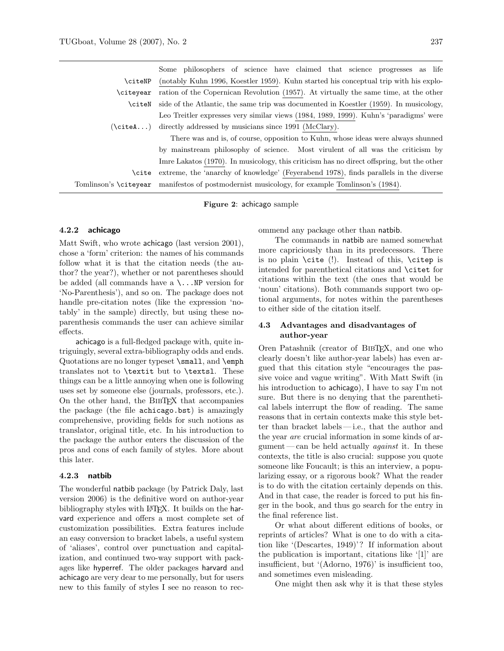|                       | Some philosophers of science have claimed that science progresses as life                 |
|-----------------------|-------------------------------------------------------------------------------------------|
| \citeNP               | (notably Kuhn 1996, Koestler 1959). Kuhn started his conceptual trip with his explo-      |
| \citeyear             | ration of the Copernican Revolution (1957). At virtually the same time, at the other      |
| <b>\citeN</b>         | side of the Atlantic, the same trip was documented in Koestler (1959). In musicology,     |
|                       | Leo Treitler expresses very similar views (1984, 1989, 1999). Kuhn's 'paradigms' were     |
|                       | $(\text{citeA})$ directly addressed by musicians since 1991 (McClary).                    |
|                       | There was and is, of course, opposition to Kuhn, whose ideas were always shunned          |
|                       | by mainstream philosophy of science. Most virulent of all was the criticism by            |
|                       | Imre Lakatos (1970). In musicology, this criticism has no direct offspring, but the other |
| \cite                 | extreme, the 'anarchy of knowledge' (Feyerabend 1978), finds parallels in the diverse     |
| Tomlinson's \citeyear | manifestos of postmodernist musicology, for example Tomlinson's (1984).                   |

Figure 2: achicago sample

# 4.2.2 achicago

Matt Swift, who wrote achicago (last version 2001), chose a 'form' criterion: the names of his commands follow what it is that the citation needs (the author? the year?), whether or not parentheses should be added (all commands have a \...NP version for 'No-Parenthesis'), and so on. The package does not handle pre-citation notes (like the expression 'notably' in the sample) directly, but using these noparenthesis commands the user can achieve similar effects.

achicago is a full-fledged package with, quite intriguingly, several extra-bibliography odds and ends. Quotations are no longer typeset \small, and \emph translates not to \textit but to \textsl. These things can be a little annoying when one is following uses set by someone else (journals, professors, etc.). On the other hand, the BibTEX that accompanies the package (the file achicago.bst) is amazingly comprehensive, providing fields for such notions as translator, original title, etc. In his introduction to the package the author enters the discussion of the pros and cons of each family of styles. More about this later.

### 4.2.3 natbib

The wonderful natbib package (by Patrick Daly, last version 2006) is the definitive word on author-year bibliography styles with LAT<sub>EX</sub>. It builds on the harvard experience and offers a most complete set of customization possibilities. Extra features include an easy conversion to bracket labels, a useful system of 'aliases', control over punctuation and capitalization, and continued two-way support with packages like hyperref. The older packages harvard and achicago are very dear to me personally, but for users new to this family of styles I see no reason to recommend any package other than natbib.

The commands in natbib are named somewhat more capriciously than in its predecessors. There is no plain \cite (!). Instead of this, \citep is intended for parenthetical citations and \citet for citations within the text (the ones that would be 'noun' citations). Both commands support two optional arguments, for notes within the parentheses to either side of the citation itself.

# 4.3 Advantages and disadvantages of author-year

Oren Patashnik (creator of BibTEX, and one who clearly doesn't like author-year labels) has even argued that this citation style "encourages the passive voice and vague writing". With Matt Swift (in his introduction to achicago), I have to say I'm not sure. But there is no denying that the parenthetical labels interrupt the flow of reading. The same reasons that in certain contexts make this style better than bracket labels — i.e., that the author and the year are crucial information in some kinds of argument — can be held actually *against* it. In these contexts, the title is also crucial: suppose you quote someone like Foucault; is this an interview, a popularizing essay, or a rigorous book? What the reader is to do with the citation certainly depends on this. And in that case, the reader is forced to put his finger in the book, and thus go search for the entry in the final reference list.

Or what about different editions of books, or reprints of articles? What is one to do with a citation like '(Descartes, 1949)'? If information about the publication is important, citations like '[1]' are insufficient, but '(Adorno, 1976)' is insufficient too, and sometimes even misleading.

One might then ask why it is that these styles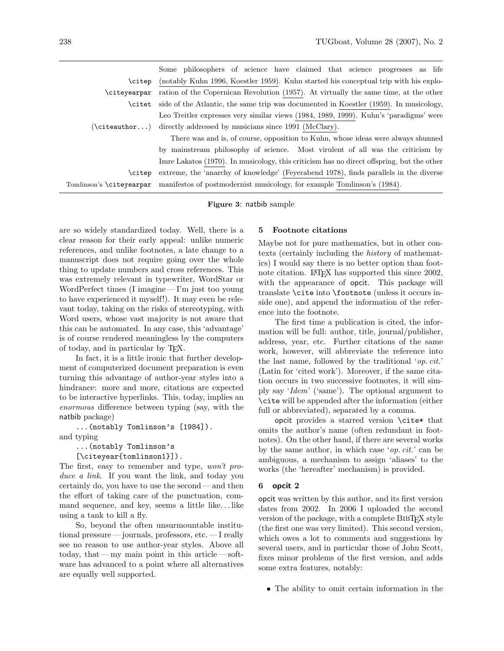|                          | Some philosophers of science have claimed that science progresses as life                 |
|--------------------------|-------------------------------------------------------------------------------------------|
| \citep                   | (notably Kuhn 1996, Koestler 1959). Kuhn started his conceptual trip with his explo-      |
| \citevearpar             | ration of the Copernican Revolution (1957). At virtually the same time, at the other      |
| <b>\citet</b>            | side of the Atlantic, the same trip was documented in Koestler (1959). In musicology,     |
|                          | Leo Treitler expresses very similar views (1984, 1989, 1999). Kuhn's 'paradigms' were     |
|                          | $(\text{citeauthor})$ directly addressed by musicians since 1991 (McClary).               |
|                          | There was and is, of course, opposition to Kuhn, whose ideas were always shunned          |
|                          | by mainstream philosophy of science. Most virulent of all was the criticism by            |
|                          | Imre Lakatos (1970). In musicology, this criticism has no direct offspring, but the other |
| \citep                   | extreme, the 'anarchy of knowledge' (Feyerabend 1978), finds parallels in the diverse     |
| Tomlinson's \citeyearpar | manifestos of postmodernist musicology, for example Tomlinson's (1984).                   |
|                          |                                                                                           |

Figure 3: natbib sample

are so widely standardized today. Well, there is a clear reason for their early appeal: unlike numeric references, and unlike footnotes, a late change to a manuscript does not require going over the whole thing to update numbers and cross references. This was extremely relevant in typewriter, WordStar or WordPerfect times (I imagine — I'm just too young to have experienced it myself!). It may even be relevant today, taking on the risks of stereotyping, with Word users, whose vast majority is not aware that this can be automated. In any case, this 'advantage' is of course rendered meaningless by the computers of today, and in particular by TEX.

In fact, it is a little ironic that further development of computerized document preparation is even turning this advantage of author-year styles into a hindrance: more and more, citations are expected to be interactive hyperlinks. This, today, implies an enormous difference between typing (say, with the natbib package)

```
...(notably Tomlinson's [1984]).
and typing
```

```
...(notably Tomlinson's
[\citeyear{tomlinson1}]).
```
The first, easy to remember and type, won't produce a link. If you want the link, and today you certainly do, you have to use the second— and then the effort of taking care of the punctuation, command sequence, and key, seems a little like. . . like using a tank to kill a fly.

So, beyond the often unsurmountable institutional pressure — journals, professors, etc.— I really see no reason to use author-year styles. Above all today, that— my main point in this article — software has advanced to a point where all alternatives are equally well supported.

# 5 Footnote citations

Maybe not for pure mathematics, but in other contexts (certainly including the history of mathematics) I would say there is no better option than footnote citation. LAT<sub>EX</sub> has supported this since 2002, with the appearance of opcit. This package will translate \cite into \footnote (unless it occurs inside one), and append the information of the reference into the footnote.

The first time a publication is cited, the information will be full: author, title, journal/publisher, address, year, etc. Further citations of the same work, however, will abbreviate the reference into the last name, followed by the traditional  $'op. cit.$ (Latin for 'cited work'). Moreover, if the same citation occurs in two successive footnotes, it will simply say 'Idem' ('same'). The optional argument to \cite will be appended after the information (either full or abbreviated), separated by a comma.

opcit provides a starred version \cite\* that omits the author's name (often redundant in footnotes). On the other hand, if there are several works by the same author, in which case ' $op. cit.$ ' can be ambiguous, a mechanism to assign 'aliases' to the works (the 'hereafter' mechanism) is provided.

### 6 opcit 2

opcit was written by this author, and its first version dates from 2002. In 2006 I uploaded the second version of the package, with a complete BIBT<sub>EX</sub> style (the first one was very limited). This second version, which owes a lot to comments and suggestions by several users, and in particular those of John Scott, fixes minor problems of the first version, and adds some extra features, notably:

• The ability to omit certain information in the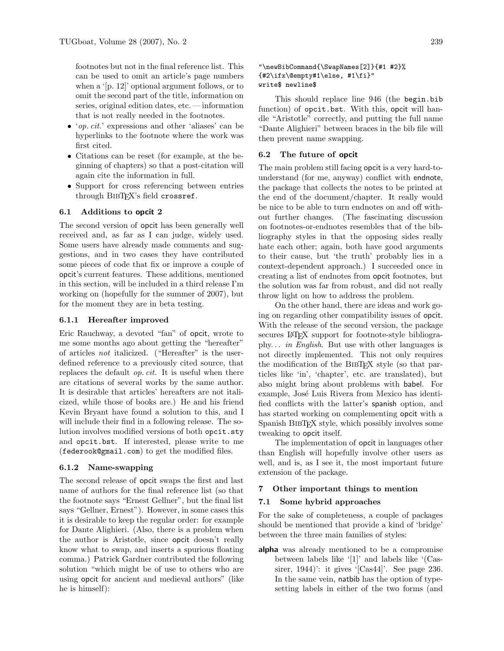footnotes but not in the final reference list. This can be used to omit an article's page numbers when a '[p. 12]' optional argument follows, or to omit the second part of the title, information on series, original edition dates, etc. — information that is not really needed in the footnotes.

- 'op. cit.' expressions and other 'aliases' can be hyperlinks to the footnote where the work was first cited.
- Citations can be reset (for example, at the beginning of chapters) so that a post-citation will again cite the information in full.
- Support for cross referencing between entries through BIBTFX's field crossref.

#### 6.1 Additions to opcit 2

The second version of opcit has been generally well received and, as far as I can judge, widely used. Some users have already made comments and suggestions, and in two cases they have contributed some pieces of code that fix or improve a couple of opcit's current features. These additions, mentioned in this section, will be included in a third release I'm working on (hopefully for the summer of 2007), but for the moment they are in beta testing.

## 6.1.1 Hereafter improved

Eric Rauchway, a devoted "fan" of opcit, wrote to me some months ago about getting the "hereafter" of articles not italicized. ("Hereafter" is the userdefined reference to a previously cited source, that replaces the default op. cit. It is useful when there are citations of several works by the same author. It is desirable that articles' hereafters are not italicized, while those of books are.) He and his friend Kevin Bryant have found a solution to this, and I will include their find in a following release. The solution involves modified versions of both opcit.sty and opcit.bst. If interested, please write to me (federook@gmail.com) to get the modified files.

#### 6.1.2 Name-swapping

The second release of opcit swaps the first and last name of authors for the final reference list (so that the footnote says "Ernest Gellner", but the final list says "Gellner, Ernest"). However, in some cases this it is desirable to keep the regular order: for example for Dante Alighieri. (Also, there is a problem when the author is Aristotle, since opcit doesn't really know what to swap, and inserts a spurious floating comma.) Patrick Gardner contributed the following solution "which might be of use to others who are using opcit for ancient and medieval authors" (like he is himself):

### "\newBibCommand{\SwapNames[2]}{#1 #2}% {#2\ifx\@empty#1\else, #1\fi}" write\$ newline\$

This should replace line 946 (the begin.bib function) of opcit.bst. With this, opcit will handle "Aristotle" correctly, and putting the full name "Dante Alighieri" between braces in the bib file will then prevent name swapping.

## 6.2 The future of opcit

The main problem still facing opcit is a very hard-tounderstand (for me, anyway) conflict with endnote, the package that collects the notes to be printed at the end of the document/chapter. It really would be nice to be able to turn endnotes on and off without further changes. (The fascinating discussion on footnotes-or-endnotes resembles that of the bibliography styles in that the opposing sides really hate each other; again, both have good arguments to their cause, but 'the truth' probably lies in a context-dependent approach.) I succeeded once in creating a list of endnotes from opcit footnotes, but the solution was far from robust, and did not really throw light on how to address the problem.

On the other hand, there are ideas and work going on regarding other compatibility issues of opcit. With the release of the second version, the package secures LATEX support for footnote-style bibliography. . . in English. But use with other languages is not directly implemented. This not only requires the modification of the BIBT<sub>EX</sub> style (so that particles like 'in', 'chapter', etc. are translated), but also might bring about problems with babel. For example, José Luis Rivera from Mexico has identified conflicts with the latter's spanish option, and has started working on complementing opcit with a Spanish BibTEX style, which possibly involves some tweaking to opcit itself.

The implementation of opcit in languages other than English will hopefully involve other users as well, and is, as I see it, the most important future extension of the package.

## 7 Other important things to mention

### 7.1 Some hybrid approaches

For the sake of completeness, a couple of packages should be mentioned that provide a kind of 'bridge' between the three main families of styles:

**alpha** was already mentioned to be a compromise between labels like '[1]' and labels like '(Cassirer, 1944)': it gives '[Cas44]'. See page 236. In the same vein, natbib has the option of typesetting labels in either of the two forms (and